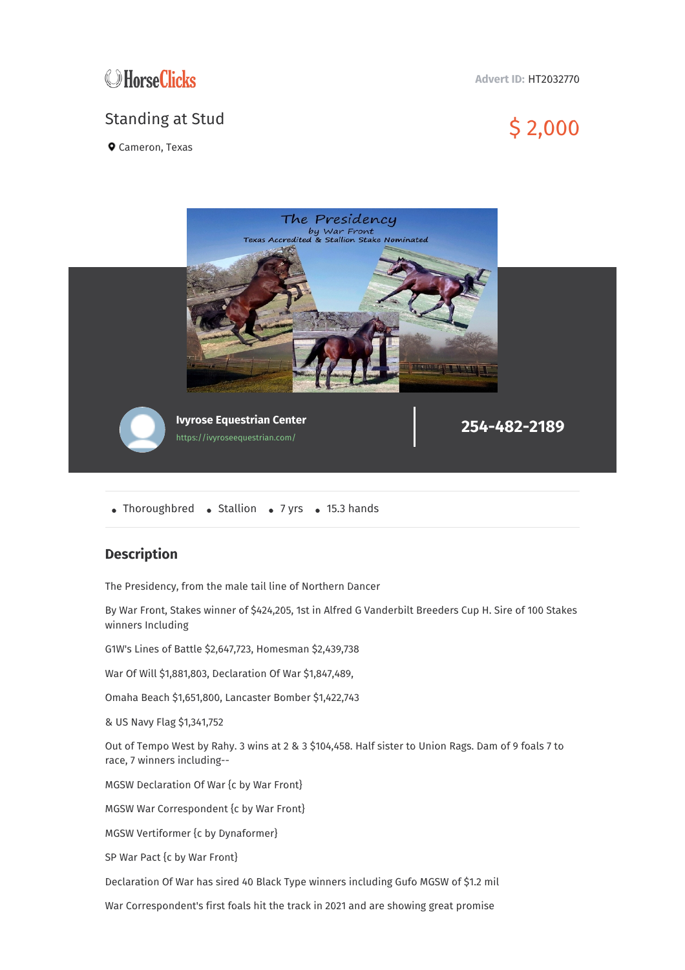

## **Advert ID:** HT2032770

## Standing at Stud \$ 2,000

**Q** Cameron, Texas



• Thoroughbred • Stallion • 7 yrs • 15.3 hands

## **Description**

The Presidency, from the male tail line of Northern Dancer

By War Front, Stakes winner of \$424,205, 1st in Alfred G Vanderbilt Breeders Cup H. Sire of 100 Stakes winners Including

G1W's Lines of Battle \$2,647,723, Homesman \$2,439,738

War Of Will \$1,881,803, Declaration Of War \$1,847,489,

Omaha Beach \$1,651,800, Lancaster Bomber \$1,422,743

& US Navy Flag \$1,341,752

Out of Tempo West by Rahy. 3 wins at 2 & 3 \$104,458. Half sister to Union Rags. Dam of 9 foals 7 to race, 7 winners including--

MGSW Declaration Of War {c by War Front}

MGSW War Correspondent {c by War Front}

MGSW Vertiformer {c by Dynaformer}

SP War Pact {c by War Front}

Declaration Of War has sired 40 Black Type winners including Gufo MGSW of \$1.2 mil

War Correspondent's first foals hit the track in 2021 and are showing great promise